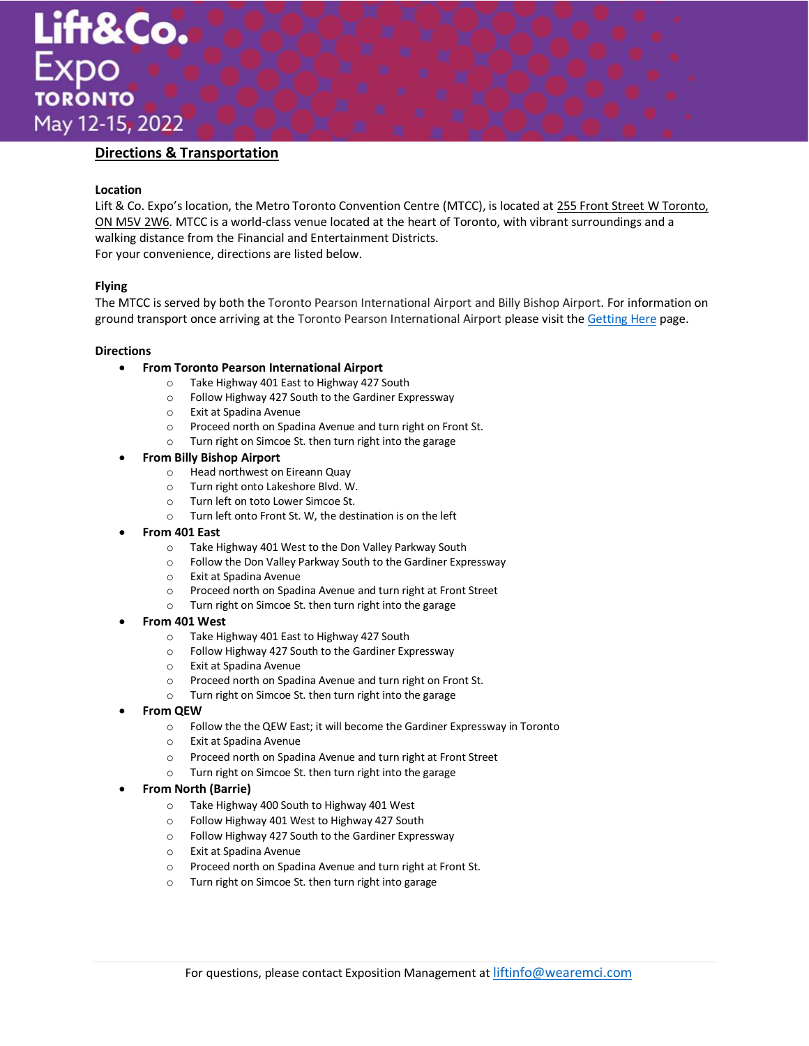

# **Directions & Transportation**

#### **Location**

Lift & Co. Expo's location, the Metro Toronto Convention Centre (MTCC), is located at 255 Front Street W Toronto, ON M5V 2W6. MTCC is a world-class venue located at the heart of Toronto, with vibrant surroundings and a walking distance from the Financial and Entertainment Districts. For your convenience, directions are listed below.

## **Flying**

The MTCC is served by both the Toronto Pearson International Airport and Billy Bishop Airport. For information on ground transport once arriving at the Toronto Pearson International Airport please visit the [Getting Here](https://www.mtccc.com/locations/getting-here/from-within-toronto/#1477062925972-f90d23f4-da58d118-ef1e) page.

#### **Directions**

- **From Toronto Pearson International Airport**
	- o Take Highway 401 East to Highway 427 South
	- o Follow Highway 427 South to the Gardiner Expressway
	- o Exit at Spadina Avenue
	- o Proceed north on Spadina Avenue and turn right on Front St.
	- o Turn right on Simcoe St. then turn right into the garage

#### • **From Billy Bishop Airport**

- o Head northwest on Eireann Quay
- o Turn right onto Lakeshore Blvd. W.
- o Turn left on toto Lower Simcoe St.
- o Turn left onto Front St. W, the destination is on the left
- **From 401 East**
	- o Take Highway 401 West to the Don Valley Parkway South
	- o Follow the Don Valley Parkway South to the Gardiner Expressway
	- o Exit at Spadina Avenue
	- o Proceed north on Spadina Avenue and turn right at Front Street
	- o Turn right on Simcoe St. then turn right into the garage
- **From 401 West**
	- o Take Highway 401 East to Highway 427 South
	- o Follow Highway 427 South to the Gardiner Expressway
	- o Exit at Spadina Avenue
	- o Proceed north on Spadina Avenue and turn right on Front St.
	- o Turn right on Simcoe St. then turn right into the garage
- **From QEW**
	- o Follow the the QEW East; it will become the Gardiner Expressway in Toronto
	- o Exit at Spadina Avenue
	- o Proceed north on Spadina Avenue and turn right at Front Street
	- o Turn right on Simcoe St. then turn right into the garage

#### • **From North (Barrie)**

- o Take Highway 400 South to Highway 401 West
- o Follow Highway 401 West to Highway 427 South
- o Follow Highway 427 South to the Gardiner Expressway
- o Exit at Spadina Avenue
- o Proceed north on Spadina Avenue and turn right at Front St.
- o Turn right on Simcoe St. then turn right into garage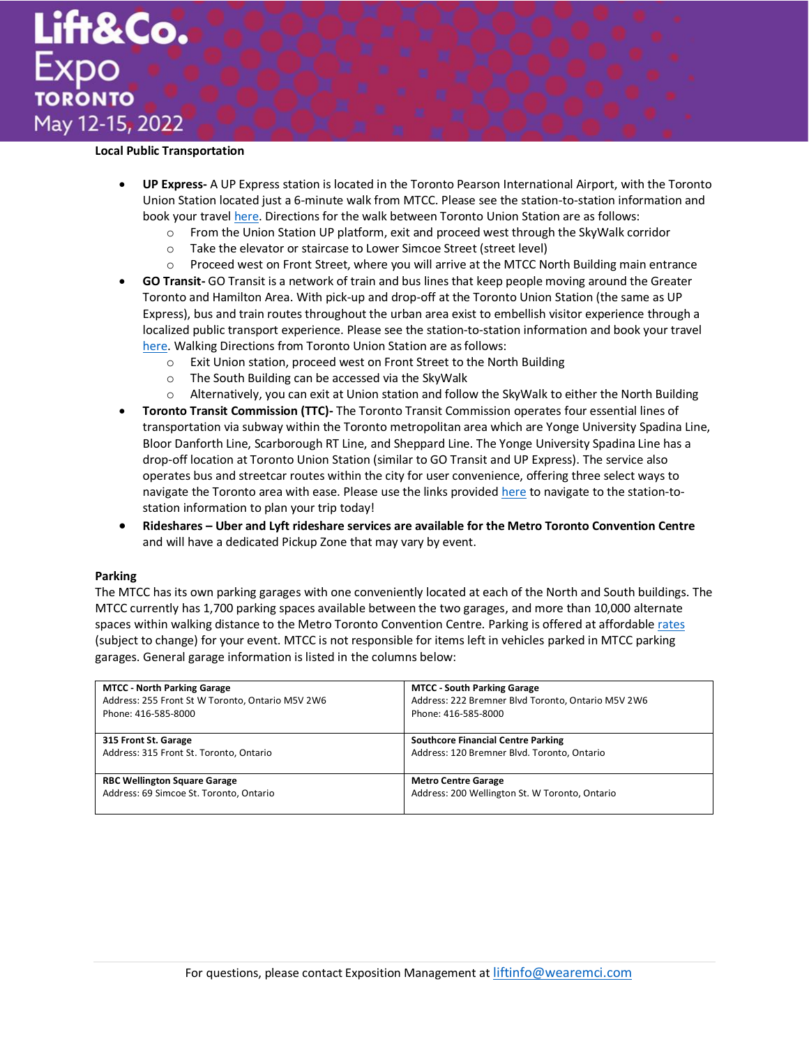

### **Local Public Transportation**

- **UP Express-** A UP Express station is located in the Toronto Pearson International Airport, with the Toronto Union Station located just a 6-minute walk from MTCC. Please see the station-to-station information and book your travel [here.](https://www.upexpress.com/) Directions for the walk between Toronto Union Station are as follows:
	- $\circ$  From the Union Station UP platform, exit and proceed west through the SkyWalk corridor
	- o Take the elevator or staircase to Lower Simcoe Street (street level)
	- $\circ$  Proceed west on Front Street, where you will arrive at the MTCC North Building main entrance
- **GO Transit-** GO Transit is a network of train and bus lines that keep people moving around the Greater Toronto and Hamilton Area. With pick-up and drop-off at the Toronto Union Station (the same as UP Express), bus and train routes throughout the urban area exist to embellish visitor experience through a localized public transport experience. Please see the station-to-station information and book your travel [here.](https://www.gotransit.com/) Walking Directions from Toronto Union Station are as follows:
	- o Exit Union station, proceed west on Front Street to the North Building
	- o The South Building can be accessed via the SkyWalk
	- o Alternatively, you can exit at Union station and follow the SkyWalk to either the North Building
- **Toronto Transit Commission (TTC)-** The Toronto Transit Commission operates four essential lines of transportation via subway within the Toronto metropolitan area which are Yonge University Spadina Line, Bloor Danforth Line, Scarborough RT Line, and Sheppard Line. The Yonge University Spadina Line has a drop-off location at Toronto Union Station (similar to GO Transit and UP Express). The service also operates bus and streetcar routes within the city for user convenience, offering three select ways to navigate the Toronto area with ease. Please use the links provide[d here](https://www.ttc.ca/) to navigate to the station-tostation information to plan your trip today!
- **Rideshares – Uber and Lyft rideshare services are available for the Metro Toronto Convention Centre** and will have a dedicated Pickup Zone that may vary by event.

#### **Parking**

The MTCC has its own parking garages with one conveniently located at each of the North and South buildings. The MTCC currently has 1,700 parking spaces available between the two garages, and more than 10,000 alternate spaces within walking distance to the Metro Toronto Convention Centre. Parking is offered at affordable [rates](https://www.mtccc.com/locations/parking-garage-rates/#1497462463813-06e87c2b-9ca3) (subject to change) for your event. MTCC is not responsible for items left in vehicles parked in MTCC parking garages. General garage information is listed in the columns below:

| <b>MTCC - North Parking Garage</b>               | <b>MTCC - South Parking Garage</b>                 |
|--------------------------------------------------|----------------------------------------------------|
| Address: 255 Front St W Toronto, Ontario M5V 2W6 | Address: 222 Bremner Blvd Toronto, Ontario M5V 2W6 |
| Phone: 416-585-8000                              | Phone: 416-585-8000                                |
| 315 Front St. Garage                             | <b>Southcore Financial Centre Parking</b>          |
| Address: 315 Front St. Toronto, Ontario          | Address: 120 Bremner Blvd. Toronto, Ontario        |
| <b>RBC Wellington Square Garage</b>              | <b>Metro Centre Garage</b>                         |
| Address: 69 Simcoe St. Toronto, Ontario          | Address: 200 Wellington St. W Toronto, Ontario     |